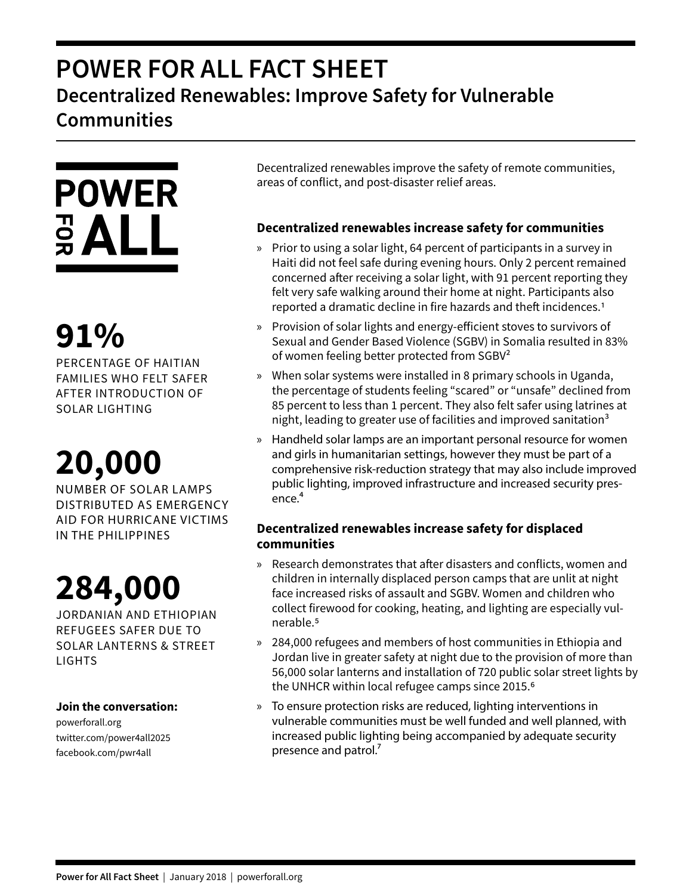## **POWER FOR ALL FACT SHEET Decentralized Renewables: Improve Safety for Vulnerable Communities**

# **POWER**  $rac{1}{2}ALL$

## **91%**

PERCENTAGE OF HAITIAN FAMILIES WHO FELT SAFER AFTER INTRODUCTION OF SOLAR LIGHTING

## **20,000**

NUMBER OF SOLAR LAMPS DISTRIBUTED AS EMERGENCY AID FOR HURRICANE VICTIMS IN THE PHILIPPINES

## **284,000**

JORDANIAN AND ETHIOPIAN REFUGEES SAFER DUE TO SOLAR LANTERNS & STREET LIGHTS

### **Join the conversation:**

powerforall.org twitter.com/power4all2025 facebook.com/pwr4all

Decentralized renewables improve the safety of remote communities, areas of conflict, and post-disaster relief areas.

### **Decentralized renewables increase safety for communities**

- » Prior to using a solar light, 64 percent of participants in a survey in Haiti did not feel safe during evening hours. Only 2 percent remained concerned after receiving a solar light, with 91 percent reporting they felt very safe walking around their home at night. Participants also reported a dramatic decline in fire hazards and theft incidences.1
- » Provision of solar lights and energy-efficient stoves to survivors of Sexual and Gender Based Violence (SGBV) in Somalia resulted in 83% of women feeling better protected from SGBV<sup>2</sup>
- » When solar systems were installed in 8 primary schools in Uganda, the percentage of students feeling "scared" or "unsafe" declined from 85 percent to less than 1 percent. They also felt safer using latrines at night, leading to greater use of facilities and improved sanitation $3$
- » Handheld solar lamps are an important personal resource for women and girls in humanitarian settings, however they must be part of a comprehensive risk-reduction strategy that may also include improved public lighting, improved infrastructure and increased security presence.<sup>4</sup>

### **Decentralized renewables increase safety for displaced communities**

- » Research demonstrates that after disasters and conflicts, women and children in internally displaced person camps that are unlit at night face increased risks of assault and SGBV. Women and children who collect firewood for cooking, heating, and lighting are especially vulnerable.5
- » 284,000 refugees and members of host communities in Ethiopia and Jordan live in greater safety at night due to the provision of more than 56,000 solar lanterns and installation of 720 public solar street lights by the UNHCR within local refugee camps since 2015.6
- » To ensure protection risks are reduced, lighting interventions in vulnerable communities must be well funded and well planned, with increased public lighting being accompanied by adequate security presence and patrol. $\frac{7}{2}$